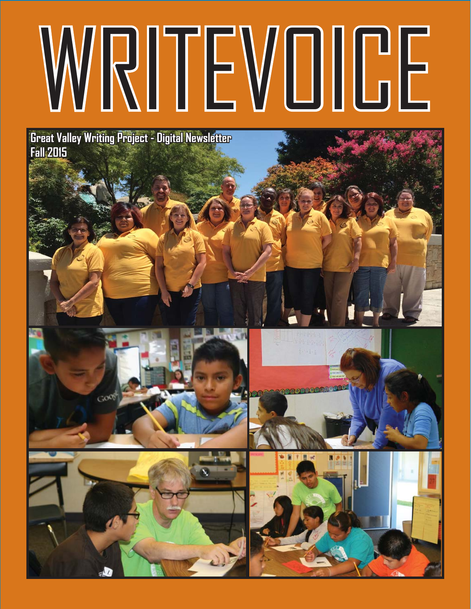# WRITEVOICE

**Great Valley Writing Project - Digital Newsletter Fall 2015 all** 







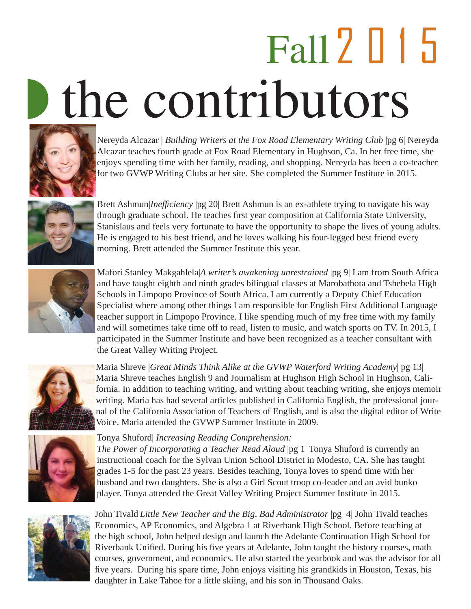# Fall2015 the contributors



Nereyda Alcazar | *Building Writers at the Fox Road Elementary Writing Club* | pg 6| Nereyda Alcazar teaches fourth grade at Fox Road Elementary in Hughson, Ca. In her free time, she enjoys spending time with her family, reading, and shopping. Nereyda has been a co-teacher for two GVWP Writing Clubs at her site. She completed the Summer Institute in 2015.



Brett Ashmun|*Ineffi ciency* |pg 20| Brett Ashmun is an ex-athlete trying to navigate his way through graduate school. He teaches first year composition at California State University, Stanislaus and feels very fortunate to have the opportunity to shape the lives of young adults. He is engaged to his best friend, and he loves walking his four-legged best friend every morning. Brett attended the Summer Institute this year.



Mafori Stanley Makgahlela|*A writer's awakening unrestrained* |pg 9| I am from South Africa and have taught eighth and ninth grades bilingual classes at Marobathota and Tshebela High Schools in Limpopo Province of South Africa. I am currently a Deputy Chief Education Specialist where among other things I am responsible for English First Additional Language teacher support in Limpopo Province. I like spending much of my free time with my family and will sometimes take time off to read, listen to music, and watch sports on TV. In 2015, I participated in the Summer Institute and have been recognized as a teacher consultant with the Great Valley Writing Project.



Maria Shreve |*Great Minds Think Alike at the GVWP Waterford Writing Academy*| pg 13| Maria Shreve teaches English 9 and Journalism at Hughson High School in Hughson, California. In addition to teaching writing, and writing about teaching writing, she enjoys memoir writing. Maria has had several articles published in California English, the professional journal of the California Association of Teachers of English, and is also the digital editor of Write Voice. Maria attended the GVWP Summer Institute in 2009.



#### Tonya Shuford| *Increasing Reading Comprehension:*

*The Power of Incorporating a Teacher Read Aloud* |pg 1| Tonya Shuford is currently an instructional coach for the Sylvan Union School District in Modesto, CA. She has taught grades 1-5 for the past 23 years. Besides teaching, Tonya loves to spend time with her husband and two daughters. She is also a Girl Scout troop co-leader and an avid bunko player. Tonya attended the Great Valley Writing Project Summer Institute in 2015.



John Tivald|*Little New Teacher and the Big, Bad Administrator* |pg 4| John Tivald teaches Economics, AP Economics, and Algebra 1 at Riverbank High School. Before teaching at the high school, John helped design and launch the Adelante Continuation High School for Riverbank Unified. During his five years at Adelante, John taught the history courses, math courses, government, and economics. He also started the yearbook and was the advisor for all five years. During his spare time, John enjoys visiting his grandkids in Houston, Texas, his daughter in Lake Tahoe for a little skiing, and his son in Thousand Oaks.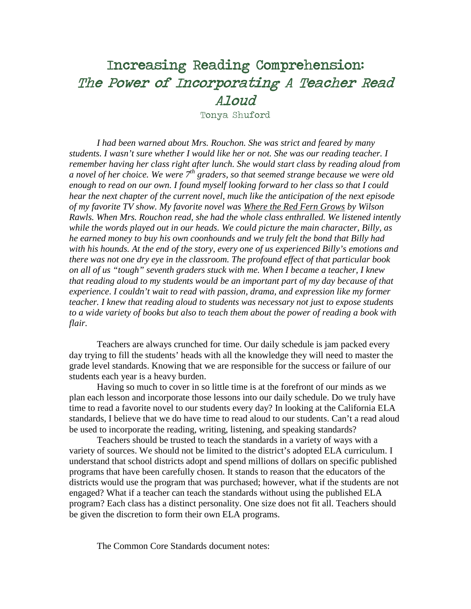# Increasing Reading Comprehension: The Power of Incorporating A Teacher Read Aloud

Tonya Shuford

*I had been warned about Mrs. Rouchon. She was strict and feared by many students. I wasn't sure whether I would like her or not. She was our reading teacher. I remember having her class right after lunch. She would start class by reading aloud from a novel of her choice. We were 7th graders, so that seemed strange because we were old enough to read on our own. I found myself looking forward to her class so that I could hear the next chapter of the current novel, much like the anticipation of the next episode of my favorite TV show. My favorite novel was Where the Red Fern Grows by Wilson Rawls. When Mrs. Rouchon read, she had the whole class enthralled. We listened intently while the words played out in our heads. We could picture the main character, Billy, as he earned money to buy his own coonhounds and we truly felt the bond that Billy had with his hounds. At the end of the story, every one of us experienced Billy's emotions and there was not one dry eye in the classroom. The profound effect of that particular book on all of us "tough" seventh graders stuck with me. When I became a teacher, I knew that reading aloud to my students would be an important part of my day because of that experience*. *I couldn't wait to read with passion, drama, and expression like my former teacher. I knew that reading aloud to students was necessary not just to expose students to a wide variety of books but also to teach them about the power of reading a book with flair.*

Teachers are always crunched for time. Our daily schedule is jam packed every day trying to fill the students' heads with all the knowledge they will need to master the grade level standards. Knowing that we are responsible for the success or failure of our students each year is a heavy burden.

Having so much to cover in so little time is at the forefront of our minds as we plan each lesson and incorporate those lessons into our daily schedule. Do we truly have time to read a favorite novel to our students every day? In looking at the California ELA standards, I believe that we do have time to read aloud to our students. Can't a read aloud be used to incorporate the reading, writing, listening, and speaking standards?

Teachers should be trusted to teach the standards in a variety of ways with a variety of sources. We should not be limited to the district's adopted ELA curriculum. I understand that school districts adopt and spend millions of dollars on specific published programs that have been carefully chosen. It stands to reason that the educators of the districts would use the program that was purchased; however, what if the students are not engaged? What if a teacher can teach the standards without using the published ELA program? Each class has a distinct personality. One size does not fit all. Teachers should be given the discretion to form their own ELA programs.

The Common Core Standards document notes: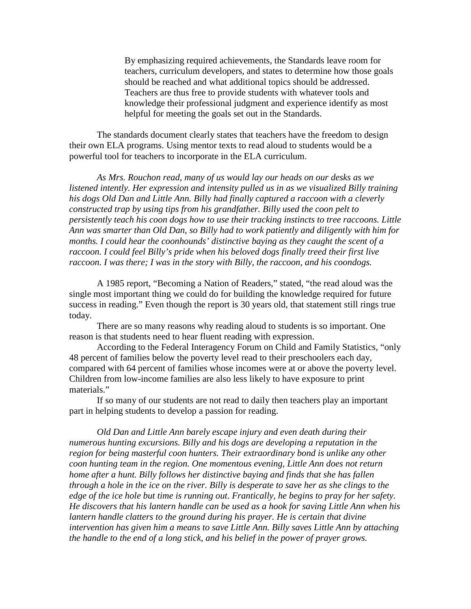By emphasizing required achievements, the Standards leave room for teachers, curriculum developers, and states to determine how those goals should be reached and what additional topics should be addressed. Teachers are thus free to provide students with whatever tools and knowledge their professional judgment and experience identify as most helpful for meeting the goals set out in the Standards.

The standards document clearly states that teachers have the freedom to design their own ELA programs. Using mentor texts to read aloud to students would be a powerful tool for teachers to incorporate in the ELA curriculum.

*As Mrs. Rouchon read, many of us would lay our heads on our desks as we listened intently. Her expression and intensity pulled us in as we visualized Billy training his dogs Old Dan and Little Ann. Billy had finally captured a raccoon with a cleverly constructed trap by using tips from his grandfather. Billy used the coon pelt to persistently teach his coon dogs how to use their tracking instincts to tree raccoons. Little Ann was smarter than Old Dan, so Billy had to work patiently and diligently with him for months. I could hear the coonhounds' distinctive baying as they caught the scent of a raccoon. I could feel Billy's pride when his beloved dogs finally treed their first live raccoon. I was there; I was in the story with Billy, the raccoon, and his coondogs.*

A 1985 report, "Becoming a Nation of Readers," stated, "the read aloud was the single most important thing we could do for building the knowledge required for future success in reading." Even though the report is 30 years old, that statement still rings true today.

There are so many reasons why reading aloud to students is so important. One reason is that students need to hear fluent reading with expression.

According to the Federal Interagency Forum on Child and Family Statistics, "only 48 percent of families below the poverty level read to their preschoolers each day, compared with 64 percent of families whose incomes were at or above the poverty level. Children from low-income families are also less likely to have exposure to print materials."

If so many of our students are not read to daily then teachers play an important part in helping students to develop a passion for reading.

*Old Dan and Little Ann barely escape injury and even death during their numerous hunting excursions. Billy and his dogs are developing a reputation in the region for being masterful coon hunters. Their extraordinary bond is unlike any other coon hunting team in the region. One momentous evening, Little Ann does not return home after a hunt. Billy follows her distinctive baying and finds that she has fallen through a hole in the ice on the river. Billy is desperate to save her as she clings to the edge of the ice hole but time is running out. Frantically, he begins to pray for her safety. He discovers that his lantern handle can be used as a hook for saving Little Ann when his lantern handle clatters to the ground during his prayer. He is certain that divine intervention has given him a means to save Little Ann. Billy saves Little Ann by attaching the handle to the end of a long stick, and his belief in the power of prayer grows.*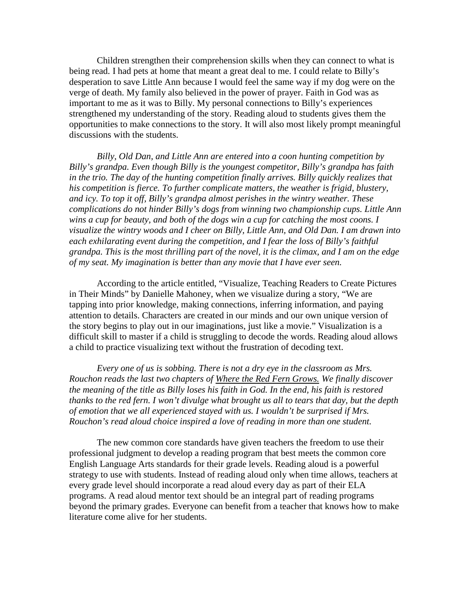Children strengthen their comprehension skills when they can connect to what is being read. I had pets at home that meant a great deal to me. I could relate to Billy's desperation to save Little Ann because I would feel the same way if my dog were on the verge of death. My family also believed in the power of prayer. Faith in God was as important to me as it was to Billy. My personal connections to Billy's experiences strengthened my understanding of the story. Reading aloud to students gives them the opportunities to make connections to the story. It will also most likely prompt meaningful discussions with the students.

*Billy, Old Dan, and Little Ann are entered into a coon hunting competition by Billy's grandpa. Even though Billy is the youngest competitor, Billy's grandpa has faith in the trio. The day of the hunting competition finally arrives. Billy quickly realizes that his competition is fierce. To further complicate matters, the weather is frigid, blustery, and icy. To top it off, Billy's grandpa almost perishes in the wintry weather. These complications do not hinder Billy's dogs from winning two championship cups. Little Ann wins a cup for beauty, and both of the dogs win a cup for catching the most coons. I visualize the wintry woods and I cheer on Billy, Little Ann, and Old Dan. I am drawn into each exhilarating event during the competition, and I fear the loss of Billy's faithful grandpa. This is the most thrilling part of the novel, it is the climax, and I am on the edge of my seat. My imagination is better than any movie that I have ever seen.*

According to the article entitled, "Visualize, Teaching Readers to Create Pictures in Their Minds" by Danielle Mahoney, when we visualize during a story, "We are tapping into prior knowledge, making connections, inferring information, and paying attention to details. Characters are created in our minds and our own unique version of the story begins to play out in our imaginations, just like a movie." Visualization is a difficult skill to master if a child is struggling to decode the words. Reading aloud allows a child to practice visualizing text without the frustration of decoding text.

*Every one of us is sobbing. There is not a dry eye in the classroom as Mrs. Rouchon reads the last two chapters of Where the Red Fern Grows. We finally discover the meaning of the title as Billy loses his faith in God. In the end, his faith is restored thanks to the red fern. I won't divulge what brought us all to tears that day, but the depth of emotion that we all experienced stayed with us. I wouldn't be surprised if Mrs. Rouchon's read aloud choice inspired a love of reading in more than one student.*

The new common core standards have given teachers the freedom to use their professional judgment to develop a reading program that best meets the common core English Language Arts standards for their grade levels. Reading aloud is a powerful strategy to use with students. Instead of reading aloud only when time allows, teachers at every grade level should incorporate a read aloud every day as part of their ELA programs. A read aloud mentor text should be an integral part of reading programs beyond the primary grades. Everyone can benefit from a teacher that knows how to make literature come alive for her students.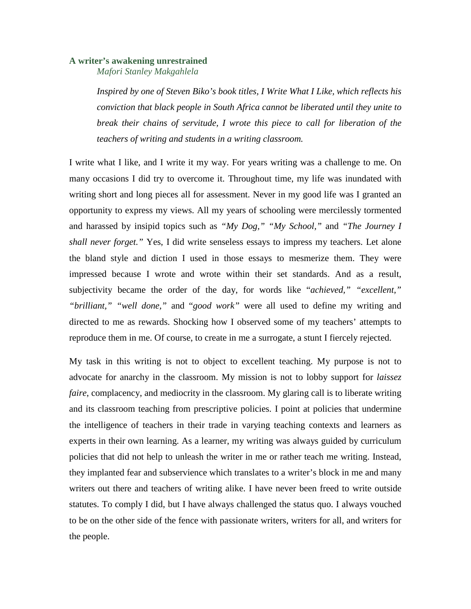#### **A writer's awakening unrestrained**

*Mafori Stanley Makgahlela*

*Inspired by one of Steven Biko's book titles, I Write What I Like, which reflects his conviction that black people in South Africa cannot be liberated until they unite to break their chains of servitude, I wrote this piece to call for liberation of the teachers of writing and students in a writing classroom.* 

I write what I like, and I write it my way. For years writing was a challenge to me. On many occasions I did try to overcome it. Throughout time, my life was inundated with writing short and long pieces all for assessment. Never in my good life was I granted an opportunity to express my views. All my years of schooling were mercilessly tormented and harassed by insipid topics such as *"My Dog," "My School,"* and *"The Journey I shall never forget."* Yes, I did write senseless essays to impress my teachers. Let alone the bland style and diction I used in those essays to mesmerize them. They were impressed because I wrote and wrote within their set standards. And as a result, subjectivity became the order of the day, for words like "*achieved," "excellent," "brilliant," "well done,"* and "*good work"* were all used to define my writing and directed to me as rewards. Shocking how I observed some of my teachers' attempts to reproduce them in me. Of course, to create in me a surrogate, a stunt I fiercely rejected.

My task in this writing is not to object to excellent teaching. My purpose is not to advocate for anarchy in the classroom. My mission is not to lobby support for *laissez faire*, complacency, and mediocrity in the classroom. My glaring call is to liberate writing and its classroom teaching from prescriptive policies. I point at policies that undermine the intelligence of teachers in their trade in varying teaching contexts and learners as experts in their own learning. As a learner, my writing was always guided by curriculum policies that did not help to unleash the writer in me or rather teach me writing. Instead, they implanted fear and subservience which translates to a writer's block in me and many writers out there and teachers of writing alike. I have never been freed to write outside statutes. To comply I did, but I have always challenged the status quo. I always vouched to be on the other side of the fence with passionate writers, writers for all, and writers for the people.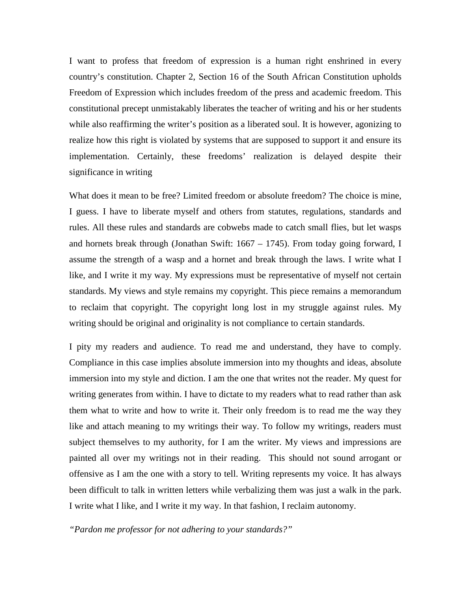I want to profess that freedom of expression is a human right enshrined in every country's constitution. Chapter 2, Section 16 of the South African Constitution upholds Freedom of Expression which includes freedom of the press and academic freedom. This constitutional precept unmistakably liberates the teacher of writing and his or her students while also reaffirming the writer's position as a liberated soul. It is however, agonizing to realize how this right is violated by systems that are supposed to support it and ensure its implementation. Certainly, these freedoms' realization is delayed despite their significance in writing

What does it mean to be free? Limited freedom or absolute freedom? The choice is mine, I guess. I have to liberate myself and others from statutes, regulations, standards and rules. All these rules and standards are cobwebs made to catch small flies, but let wasps and hornets break through (Jonathan Swift: 1667 – 1745). From today going forward, I assume the strength of a wasp and a hornet and break through the laws. I write what I like, and I write it my way. My expressions must be representative of myself not certain standards. My views and style remains my copyright. This piece remains a memorandum to reclaim that copyright. The copyright long lost in my struggle against rules. My writing should be original and originality is not compliance to certain standards.

I pity my readers and audience. To read me and understand, they have to comply. Compliance in this case implies absolute immersion into my thoughts and ideas, absolute immersion into my style and diction. I am the one that writes not the reader. My quest for writing generates from within. I have to dictate to my readers what to read rather than ask them what to write and how to write it. Their only freedom is to read me the way they like and attach meaning to my writings their way. To follow my writings, readers must subject themselves to my authority, for I am the writer. My views and impressions are painted all over my writings not in their reading. This should not sound arrogant or offensive as I am the one with a story to tell. Writing represents my voice. It has always been difficult to talk in written letters while verbalizing them was just a walk in the park. I write what I like, and I write it my way. In that fashion, I reclaim autonomy.

*"Pardon me professor for not adhering to your standards?"*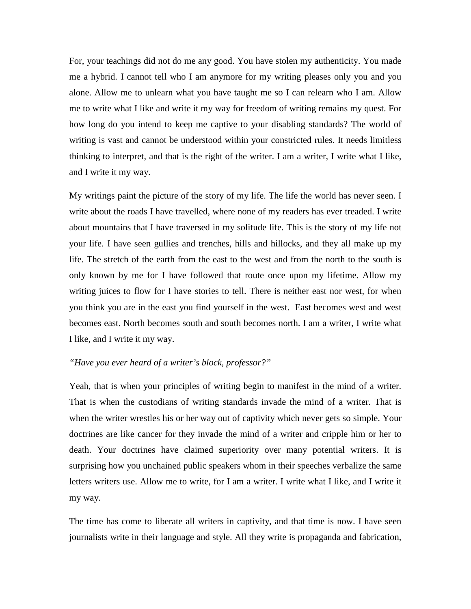For, your teachings did not do me any good. You have stolen my authenticity. You made me a hybrid. I cannot tell who I am anymore for my writing pleases only you and you alone. Allow me to unlearn what you have taught me so I can relearn who I am. Allow me to write what I like and write it my way for freedom of writing remains my quest. For how long do you intend to keep me captive to your disabling standards? The world of writing is vast and cannot be understood within your constricted rules. It needs limitless thinking to interpret, and that is the right of the writer. I am a writer, I write what I like, and I write it my way.

My writings paint the picture of the story of my life. The life the world has never seen. I write about the roads I have travelled, where none of my readers has ever treaded. I write about mountains that I have traversed in my solitude life. This is the story of my life not your life. I have seen gullies and trenches, hills and hillocks, and they all make up my life. The stretch of the earth from the east to the west and from the north to the south is only known by me for I have followed that route once upon my lifetime. Allow my writing juices to flow for I have stories to tell. There is neither east nor west, for when you think you are in the east you find yourself in the west. East becomes west and west becomes east. North becomes south and south becomes north. I am a writer, I write what I like, and I write it my way.

#### *"Have you ever heard of a writer's block, professor?"*

Yeah, that is when your principles of writing begin to manifest in the mind of a writer. That is when the custodians of writing standards invade the mind of a writer. That is when the writer wrestles his or her way out of captivity which never gets so simple. Your doctrines are like cancer for they invade the mind of a writer and cripple him or her to death. Your doctrines have claimed superiority over many potential writers. It is surprising how you unchained public speakers whom in their speeches verbalize the same letters writers use. Allow me to write, for I am a writer. I write what I like, and I write it my way.

The time has come to liberate all writers in captivity, and that time is now. I have seen journalists write in their language and style. All they write is propaganda and fabrication,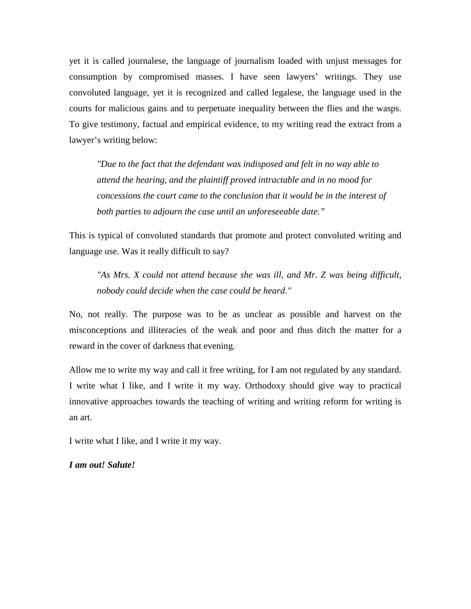yet it is called journalese, the language of journalism loaded with unjust messages for consumption by compromised masses. I have seen lawyers' writings. They use convoluted language, yet it is recognized and called legalese, the language used in the courts for malicious gains and to perpetuate inequality between the flies and the wasps. To give testimony, factual and empirical evidence, to my writing read the extract from a lawyer's writing below:

*"Due to the fact that the defendant was indisposed and felt in no way able to attend the hearing, and the plaintiff proved intractable and in no mood for concessions the court came to the conclusion that it would be in the interest of both parties to adjourn the case until an unforeseeable date."* 

This is typical of convoluted standards that promote and protect convoluted writing and language use. Was it really difficult to say?

*"As Mrs. X could not attend because she was ill, and Mr. Z was being difficult, nobody could decide when the case could be heard."* 

No, not really. The purpose was to be as unclear as possible and harvest on the misconceptions and illiteracies of the weak and poor and thus ditch the matter for a reward in the cover of darkness that evening.

Allow me to write my way and call it free writing, for I am not regulated by any standard. I write what I like, and I write it my way. Orthodoxy should give way to practical innovative approaches towards the teaching of writing and writing reform for writing is an art.

I write what I like, and I write it my way.

*I am out! Salute!*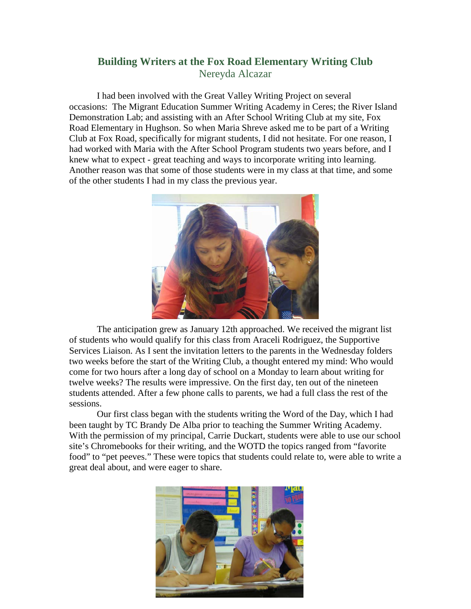#### **Building Writers at the Fox Road Elementary Writing Club** Nereyda Alcazar

I had been involved with the Great Valley Writing Project on several occasions: The Migrant Education Summer Writing Academy in Ceres; the River Island Demonstration Lab; and assisting with an After School Writing Club at my site, Fox Road Elementary in Hughson. So when Maria Shreve asked me to be part of a Writing Club at Fox Road, specifically for migrant students, I did not hesitate. For one reason, I had worked with Maria with the After School Program students two years before, and I knew what to expect - great teaching and ways to incorporate writing into learning. Another reason was that some of those students were in my class at that time, and some of the other students I had in my class the previous year.



The anticipation grew as January 12th approached. We received the migrant list of students who would qualify for this class from Araceli Rodriguez, the Supportive Services Liaison. As I sent the invitation letters to the parents in the Wednesday folders two weeks before the start of the Writing Club, a thought entered my mind: Who would come for two hours after a long day of school on a Monday to learn about writing for twelve weeks? The results were impressive. On the first day, ten out of the nineteen students attended. After a few phone calls to parents, we had a full class the rest of the sessions.

Our first class began with the students writing the Word of the Day, which I had been taught by TC Brandy De Alba prior to teaching the Summer Writing Academy. With the permission of my principal, Carrie Duckart, students were able to use our school site's Chromebooks for their writing, and the WOTD the topics ranged from "favorite food" to "pet peeves." These were topics that students could relate to, were able to write a great deal about, and were eager to share.

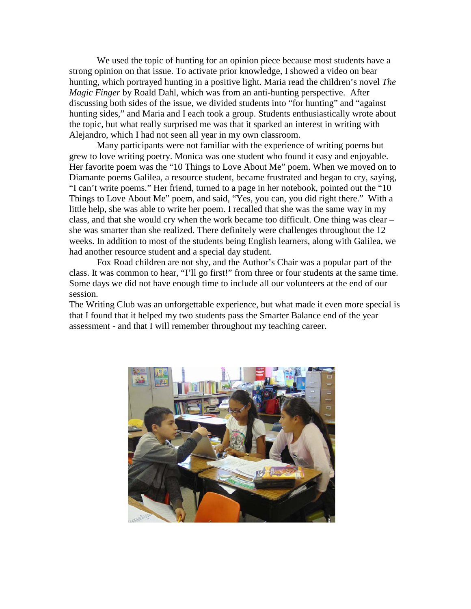We used the topic of hunting for an opinion piece because most students have a strong opinion on that issue. To activate prior knowledge, I showed a video on bear hunting, which portrayed hunting in a positive light. Maria read the children's novel *The Magic Finger* by Roald Dahl, which was from an anti-hunting perspective. After discussing both sides of the issue, we divided students into "for hunting" and "against hunting sides," and Maria and I each took a group. Students enthusiastically wrote about the topic, but what really surprised me was that it sparked an interest in writing with Alejandro, which I had not seen all year in my own classroom.

Many participants were not familiar with the experience of writing poems but grew to love writing poetry. Monica was one student who found it easy and enjoyable. Her favorite poem was the "10 Things to Love About Me" poem. When we moved on to Diamante poems Galilea, a resource student, became frustrated and began to cry, saying, "I can't write poems." Her friend, turned to a page in her notebook, pointed out the "10 Things to Love About Me" poem, and said, "Yes, you can, you did right there." With a little help, she was able to write her poem. I recalled that she was the same way in my class, and that she would cry when the work became too difficult. One thing was clear – she was smarter than she realized. There definitely were challenges throughout the 12 weeks. In addition to most of the students being English learners, along with Galilea, we had another resource student and a special day student.

Fox Road children are not shy, and the Author's Chair was a popular part of the class. It was common to hear, "I'll go first!" from three or four students at the same time. Some days we did not have enough time to include all our volunteers at the end of our session.

The Writing Club was an unforgettable experience, but what made it even more special is that I found that it helped my two students pass the Smarter Balance end of the year assessment - and that I will remember throughout my teaching career.

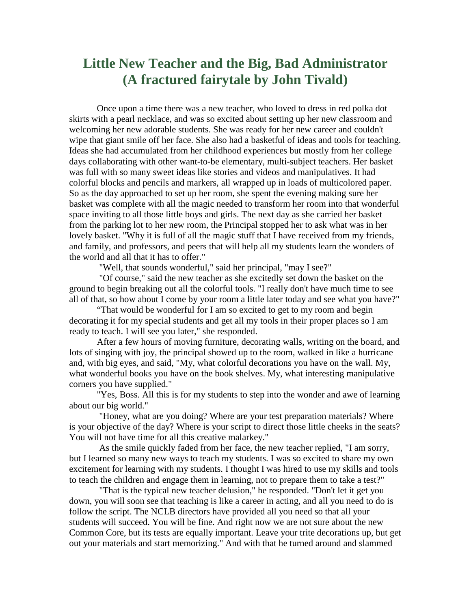### **Little New Teacher and the Big, Bad Administrator (A fractured fairytale by John Tivald)**

Once upon a time there was a new teacher, who loved to dress in red polka dot skirts with a pearl necklace, and was so excited about setting up her new classroom and welcoming her new adorable students. She was ready for her new career and couldn't wipe that giant smile off her face. She also had a basketful of ideas and tools for teaching. Ideas she had accumulated from her childhood experiences but mostly from her college days collaborating with other want-to-be elementary, multi-subject teachers. Her basket was full with so many sweet ideas like stories and videos and manipulatives. It had colorful blocks and pencils and markers, all wrapped up in loads of multicolored paper. So as the day approached to set up her room, she spent the evening making sure her basket was complete with all the magic needed to transform her room into that wonderful space inviting to all those little boys and girls. The next day as she carried her basket from the parking lot to her new room, the Principal stopped her to ask what was in her lovely basket. "Why it is full of all the magic stuff that I have received from my friends, and family, and professors, and peers that will help all my students learn the wonders of the world and all that it has to offer."

"Well, that sounds wonderful," said her principal, "may I see?"

"Of course," said the new teacher as she excitedly set down the basket on the ground to begin breaking out all the colorful tools. "I really don't have much time to see all of that, so how about I come by your room a little later today and see what you have?"

"That would be wonderful for I am so excited to get to my room and begin decorating it for my special students and get all my tools in their proper places so I am ready to teach. I will see you later," she responded.

After a few hours of moving furniture, decorating walls, writing on the board, and lots of singing with joy, the principal showed up to the room, walked in like a hurricane and, with big eyes, and said, "My, what colorful decorations you have on the wall. My, what wonderful books you have on the book shelves. My, what interesting manipulative corners you have supplied."

"Yes, Boss. All this is for my students to step into the wonder and awe of learning about our big world."

"Honey, what are you doing? Where are your test preparation materials? Where is your objective of the day? Where is your script to direct those little cheeks in the seats? You will not have time for all this creative malarkey."

As the smile quickly faded from her face, the new teacher replied, "I am sorry, but I learned so many new ways to teach my students. I was so excited to share my own excitement for learning with my students. I thought I was hired to use my skills and tools to teach the children and engage them in learning, not to prepare them to take a test?"

"That is the typical new teacher delusion," he responded. "Don't let it get you down, you will soon see that teaching is like a career in acting, and all you need to do is follow the script. The NCLB directors have provided all you need so that all your students will succeed. You will be fine. And right now we are not sure about the new Common Core, but its tests are equally important. Leave your trite decorations up, but get out your materials and start memorizing." And with that he turned around and slammed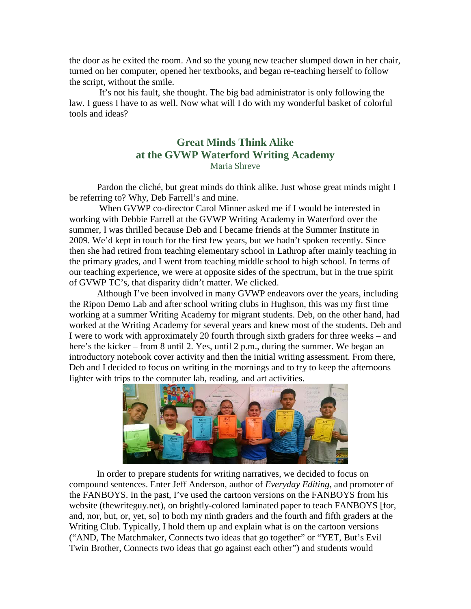the door as he exited the room. And so the young new teacher slumped down in her chair, turned on her computer, opened her textbooks, and began re-teaching herself to follow the script, without the smile.

It's not his fault, she thought. The big bad administrator is only following the law. I guess I have to as well. Now what will I do with my wonderful basket of colorful tools and ideas?

#### **Great Minds Think Alike at the GVWP Waterford Writing Academy** Maria Shreve

Pardon the cliché, but great minds do think alike. Just whose great minds might I be referring to? Why, Deb Farrell's and mine.

When GVWP co-director Carol Minner asked me if I would be interested in working with Debbie Farrell at the GVWP Writing Academy in Waterford over the summer, I was thrilled because Deb and I became friends at the Summer Institute in 2009. We'd kept in touch for the first few years, but we hadn't spoken recently. Since then she had retired from teaching elementary school in Lathrop after mainly teaching in the primary grades, and I went from teaching middle school to high school. In terms of our teaching experience, we were at opposite sides of the spectrum, but in the true spirit of GVWP TC's, that disparity didn't matter. We clicked.

Although I've been involved in many GVWP endeavors over the years, including the Ripon Demo Lab and after school writing clubs in Hughson, this was my first time working at a summer Writing Academy for migrant students. Deb, on the other hand, had worked at the Writing Academy for several years and knew most of the students. Deb and I were to work with approximately 20 fourth through sixth graders for three weeks – and here's the kicker – from 8 until 2. Yes, until 2 p.m., during the summer. We began an introductory notebook cover activity and then the initial writing assessment. From there, Deb and I decided to focus on writing in the mornings and to try to keep the afternoons lighter with trips to the computer lab, reading, and art activities.



In order to prepare students for writing narratives, we decided to focus on compound sentences. Enter Jeff Anderson, author of *Everyday Editing*, and promoter of the FANBOYS. In the past, I've used the cartoon versions on the FANBOYS from his website (thewriteguy.net), on brightly-colored laminated paper to teach FANBOYS [for, and, nor, but, or, yet, so] to both my ninth graders and the fourth and fifth graders at the Writing Club. Typically, I hold them up and explain what is on the cartoon versions ("AND, The Matchmaker, Connects two ideas that go together" or "YET, But's Evil Twin Brother, Connects two ideas that go against each other") and students would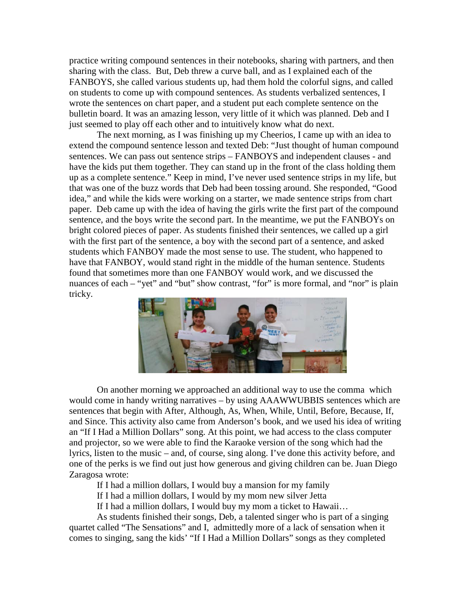practice writing compound sentences in their notebooks, sharing with partners, and then sharing with the class. But, Deb threw a curve ball, and as I explained each of the FANBOYS, she called various students up, had them hold the colorful signs, and called on students to come up with compound sentences. As students verbalized sentences, I wrote the sentences on chart paper, and a student put each complete sentence on the bulletin board. It was an amazing lesson, very little of it which was planned. Deb and I just seemed to play off each other and to intuitively know what do next.

The next morning, as I was finishing up my Cheerios, I came up with an idea to extend the compound sentence lesson and texted Deb: "Just thought of human compound sentences. We can pass out sentence strips – FANBOYS and independent clauses - and have the kids put them together. They can stand up in the front of the class holding them up as a complete sentence." Keep in mind, I've never used sentence strips in my life, but that was one of the buzz words that Deb had been tossing around. She responded, "Good idea," and while the kids were working on a starter, we made sentence strips from chart paper. Deb came up with the idea of having the girls write the first part of the compound sentence, and the boys write the second part. In the meantime, we put the FANBOYs on bright colored pieces of paper. As students finished their sentences, we called up a girl with the first part of the sentence, a boy with the second part of a sentence, and asked students which FANBOY made the most sense to use. The student, who happened to have that FANBOY, would stand right in the middle of the human sentence. Students found that sometimes more than one FANBOY would work, and we discussed the nuances of each – "yet" and "but" show contrast, "for" is more formal, and "nor" is plain tricky.



On another morning we approached an additional way to use the comma which would come in handy writing narratives – by using AAAWWUBBIS sentences which are sentences that begin with After, Although, As, When, While, Until, Before, Because, If, and Since. This activity also came from Anderson's book, and we used his idea of writing an "If I Had a Million Dollars" song. At this point, we had access to the class computer and projector, so we were able to find the Karaoke version of the song which had the lyrics, listen to the music – and, of course, sing along. I've done this activity before, and one of the perks is we find out just how generous and giving children can be. Juan Diego Zaragosa wrote:

If I had a million dollars, I would buy a mansion for my family

If I had a million dollars, I would by my mom new silver Jetta

If I had a million dollars, I would buy my mom a ticket to Hawaii…

As students finished their songs, Deb, a talented singer who is part of a singing quartet called "The Sensations" and I, admittedly more of a lack of sensation when it comes to singing, sang the kids' "If I Had a Million Dollars" songs as they completed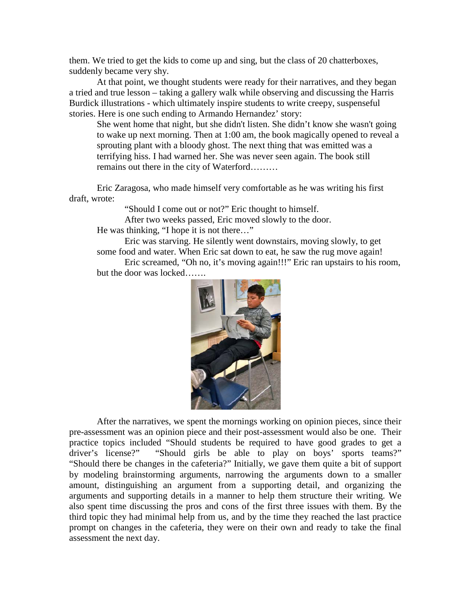them. We tried to get the kids to come up and sing, but the class of 20 chatterboxes, suddenly became very shy.

At that point, we thought students were ready for their narratives, and they began a tried and true lesson – taking a gallery walk while observing and discussing the Harris Burdick illustrations - which ultimately inspire students to write creepy, suspenseful stories. Here is one such ending to Armando Hernandez' story:

She went home that night, but she didn't listen. She didn't know she wasn't going to wake up next morning. Then at 1:00 am, the book magically opened to reveal a sprouting plant with a bloody ghost. The next thing that was emitted was a terrifying hiss. I had warned her. She was never seen again. The book still remains out there in the city of Waterford………

Eric Zaragosa, who made himself very comfortable as he was writing his first draft, wrote:

"Should I come out or not?" Eric thought to himself.

After two weeks passed, Eric moved slowly to the door.

He was thinking, "I hope it is not there…"

 Eric was starving. He silently went downstairs, moving slowly, to get some food and water. When Eric sat down to eat, he saw the rug move again!

Eric screamed, "Oh no, it's moving again!!!" Eric ran upstairs to his room, but the door was locked…….



After the narratives, we spent the mornings working on opinion pieces, since their pre-assessment was an opinion piece and their post-assessment would also be one. Their practice topics included "Should students be required to have good grades to get a driver's license?" "Should girls be able to play on boys' sports teams?" "Should there be changes in the cafeteria?" Initially, we gave them quite a bit of support by modeling brainstorming arguments, narrowing the arguments down to a smaller amount, distinguishing an argument from a supporting detail, and organizing the arguments and supporting details in a manner to help them structure their writing. We also spent time discussing the pros and cons of the first three issues with them. By the third topic they had minimal help from us, and by the time they reached the last practice prompt on changes in the cafeteria, they were on their own and ready to take the final assessment the next day.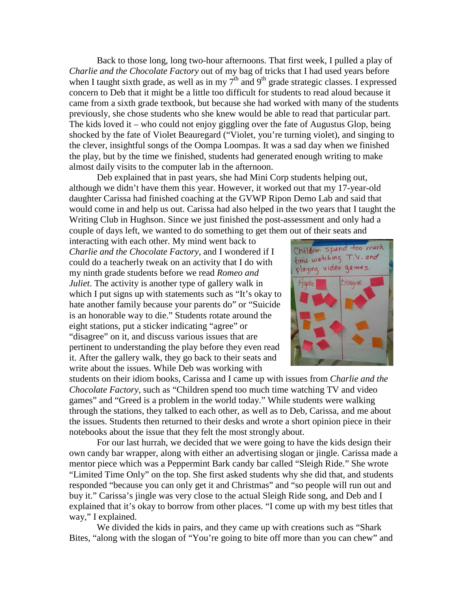Back to those long, long two-hour afternoons. That first week, I pulled a play of *Charlie and the Chocolate Factory* out of my bag of tricks that I had used years before when I taught sixth grade, as well as in my  $7<sup>th</sup>$  and  $9<sup>th</sup>$  grade strategic classes. I expressed concern to Deb that it might be a little too difficult for students to read aloud because it came from a sixth grade textbook, but because she had worked with many of the students previously, she chose students who she knew would be able to read that particular part. The kids loved it – who could not enjoy giggling over the fate of Augustus Glop, being shocked by the fate of Violet Beauregard ("Violet, you're turning violet), and singing to the clever, insightful songs of the Oompa Loompas. It was a sad day when we finished the play, but by the time we finished, students had generated enough writing to make almost daily visits to the computer lab in the afternoon.

Deb explained that in past years, she had Mini Corp students helping out, although we didn't have them this year. However, it worked out that my 17-year-old daughter Carissa had finished coaching at the GVWP Ripon Demo Lab and said that would come in and help us out. Carissa had also helped in the two years that I taught the Writing Club in Hughson. Since we just finished the post-assessment and only had a couple of days left, we wanted to do something to get them out of their seats and

interacting with each other. My mind went back to *Charlie and the Chocolate Factory*, and I wondered if I could do a teacherly tweak on an activity that I do with my ninth grade students before we read *Romeo and Juliet*. The activity is another type of gallery walk in which I put signs up with statements such as "It's okay to hate another family because your parents do" or "Suicide is an honorable way to die." Students rotate around the eight stations, put a sticker indicating "agree" or "disagree" on it, and discuss various issues that are pertinent to understanding the play before they even read it. After the gallery walk, they go back to their seats and write about the issues. While Deb was working with



students on their idiom books, Carissa and I came up with issues from *Charlie and the Chocolate Factory*, such as "Children spend too much time watching TV and video games" and "Greed is a problem in the world today." While students were walking through the stations, they talked to each other, as well as to Deb, Carissa, and me about the issues. Students then returned to their desks and wrote a short opinion piece in their notebooks about the issue that they felt the most strongly about.

For our last hurrah, we decided that we were going to have the kids design their own candy bar wrapper, along with either an advertising slogan or jingle. Carissa made a mentor piece which was a Peppermint Bark candy bar called "Sleigh Ride." She wrote "Limited Time Only" on the top. She first asked students why she did that, and students responded "because you can only get it and Christmas" and "so people will run out and buy it." Carissa's jingle was very close to the actual Sleigh Ride song, and Deb and I explained that it's okay to borrow from other places. "I come up with my best titles that way," I explained.

We divided the kids in pairs, and they came up with creations such as "Shark Bites, "along with the slogan of "You're going to bite off more than you can chew" and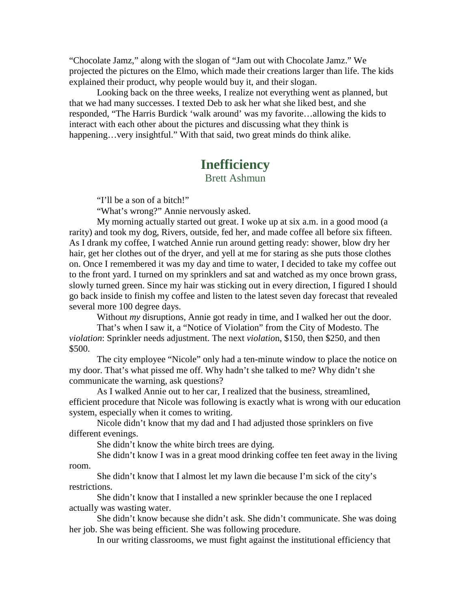"Chocolate Jamz," along with the slogan of "Jam out with Chocolate Jamz." We projected the pictures on the Elmo, which made their creations larger than life. The kids explained their product, why people would buy it, and their slogan.

Looking back on the three weeks, I realize not everything went as planned, but that we had many successes. I texted Deb to ask her what she liked best, and she responded, "The Harris Burdick 'walk around' was my favorite…allowing the kids to interact with each other about the pictures and discussing what they think is happening...very insightful." With that said, two great minds do think alike.

#### **Inefficiency**

Brett Ashmun

"I'll be a son of a bitch!"

"What's wrong?" Annie nervously asked.

My morning actually started out great. I woke up at six a.m. in a good mood (a rarity) and took my dog, Rivers, outside, fed her, and made coffee all before six fifteen. As I drank my coffee, I watched Annie run around getting ready: shower, blow dry her hair, get her clothes out of the dryer, and yell at me for staring as she puts those clothes on. Once I remembered it was my day and time to water, I decided to take my coffee out to the front yard. I turned on my sprinklers and sat and watched as my once brown grass, slowly turned green. Since my hair was sticking out in every direction, I figured I should go back inside to finish my coffee and listen to the latest seven day forecast that revealed several more 100 degree days.

Without *my* disruptions, Annie got ready in time, and I walked her out the door.

That's when I saw it, a "Notice of Violation" from the City of Modesto. The *violation*: Sprinkler needs adjustment. The next *violatio*n, \$150, then \$250, and then \$500.

The city employee "Nicole" only had a ten-minute window to place the notice on my door. That's what pissed me off. Why hadn't she talked to me? Why didn't she communicate the warning, ask questions?

As I walked Annie out to her car, I realized that the business, streamlined, efficient procedure that Nicole was following is exactly what is wrong with our education system, especially when it comes to writing.

Nicole didn't know that my dad and I had adjusted those sprinklers on five different evenings.

She didn't know the white birch trees are dying.

She didn't know I was in a great mood drinking coffee ten feet away in the living room.

She didn't know that I almost let my lawn die because I'm sick of the city's restrictions.

She didn't know that I installed a new sprinkler because the one I replaced actually was wasting water.

She didn't know because she didn't ask. She didn't communicate. She was doing her job. She was being efficient. She was following procedure.

In our writing classrooms, we must fight against the institutional efficiency that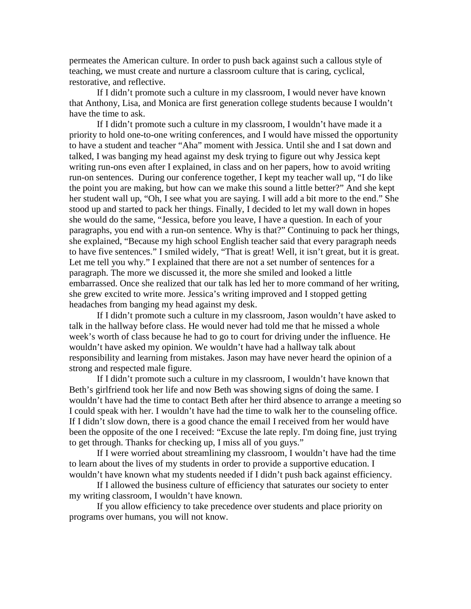permeates the American culture. In order to push back against such a callous style of teaching, we must create and nurture a classroom culture that is caring, cyclical, restorative, and reflective.

If I didn't promote such a culture in my classroom, I would never have known that Anthony, Lisa, and Monica are first generation college students because I wouldn't have the time to ask.

If I didn't promote such a culture in my classroom, I wouldn't have made it a priority to hold one-to-one writing conferences, and I would have missed the opportunity to have a student and teacher "Aha" moment with Jessica. Until she and I sat down and talked, I was banging my head against my desk trying to figure out why Jessica kept writing run-ons even after I explained, in class and on her papers, how to avoid writing run-on sentences. During our conference together, I kept my teacher wall up, "I do like the point you are making, but how can we make this sound a little better?" And she kept her student wall up, "Oh, I see what you are saying. I will add a bit more to the end." She stood up and started to pack her things. Finally, I decided to let my wall down in hopes she would do the same, "Jessica, before you leave, I have a question. In each of your paragraphs, you end with a run-on sentence. Why is that?" Continuing to pack her things, she explained, "Because my high school English teacher said that every paragraph needs to have five sentences." I smiled widely, "That is great! Well, it isn't great, but it is great. Let me tell you why." I explained that there are not a set number of sentences for a paragraph. The more we discussed it, the more she smiled and looked a little embarrassed. Once she realized that our talk has led her to more command of her writing, she grew excited to write more. Jessica's writing improved and I stopped getting headaches from banging my head against my desk.

If I didn't promote such a culture in my classroom, Jason wouldn't have asked to talk in the hallway before class. He would never had told me that he missed a whole week's worth of class because he had to go to court for driving under the influence. He wouldn't have asked my opinion. We wouldn't have had a hallway talk about responsibility and learning from mistakes. Jason may have never heard the opinion of a strong and respected male figure.

If I didn't promote such a culture in my classroom, I wouldn't have known that Beth's girlfriend took her life and now Beth was showing signs of doing the same. I wouldn't have had the time to contact Beth after her third absence to arrange a meeting so I could speak with her. I wouldn't have had the time to walk her to the counseling office. If I didn't slow down, there is a good chance the email I received from her would have been the opposite of the one I received: "Excuse the late reply. I'm doing fine, just trying to get through. Thanks for checking up, I miss all of you guys."

If I were worried about streamlining my classroom, I wouldn't have had the time to learn about the lives of my students in order to provide a supportive education. I wouldn't have known what my students needed if I didn't push back against efficiency.

If I allowed the business culture of efficiency that saturates our society to enter my writing classroom, I wouldn't have known.

If you allow efficiency to take precedence over students and place priority on programs over humans, you will not know.